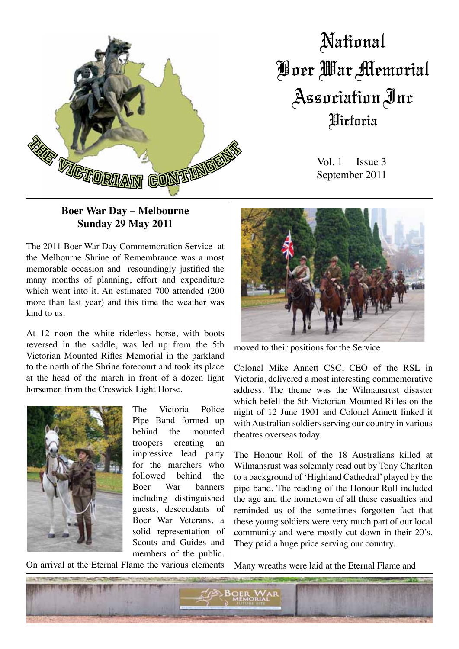

# National Boer War Memorial Association Inc Victoria

Vol. 1 Issue 3 September 2011

#### **Boer War Day – Melbourne Sunday 29 May 2011**

The 2011 Boer War Day Commemoration Service at the Melbourne Shrine of Remembrance was a most memorable occasion and resoundingly justified the many months of planning, effort and expenditure which went into it. An estimated 700 attended (200 more than last year) and this time the weather was kind to us.

At 12 noon the white riderless horse, with boots reversed in the saddle, was led up from the 5th Victorian Mounted Rifles Memorial in the parkland to the north of the Shrine forecourt and took its place at the head of the march in front of a dozen light horsemen from the Creswick Light Horse.



The Victoria Police Pipe Band formed up behind the mounted troopers creating an impressive lead party for the marchers who followed behind the Boer War banners including distinguished guests, descendants of Boer War Veterans, a solid representation of Scouts and Guides and members of the public.

On arrival at the Eternal Flame the various elements



moved to their positions for the Service.

Colonel Mike Annett CSC, CEO of the RSL in Victoria, delivered a most interesting commemorative address. The theme was the Wilmansrust disaster which befell the 5th Victorian Mounted Rifles on the night of 12 June 1901 and Colonel Annett linked it with Australian soldiers serving our country in various theatres overseas today.

The Honour Roll of the 18 Australians killed at Wilmansrust was solemnly read out by Tony Charlton to a background of 'Highland Cathedral' played by the pipe band. The reading of the Honour Roll included the age and the hometown of all these casualties and reminded us of the sometimes forgotten fact that these young soldiers were very much part of our local community and were mostly cut down in their 20's. They paid a huge price serving our country.

Many wreaths were laid at the Eternal Flame and

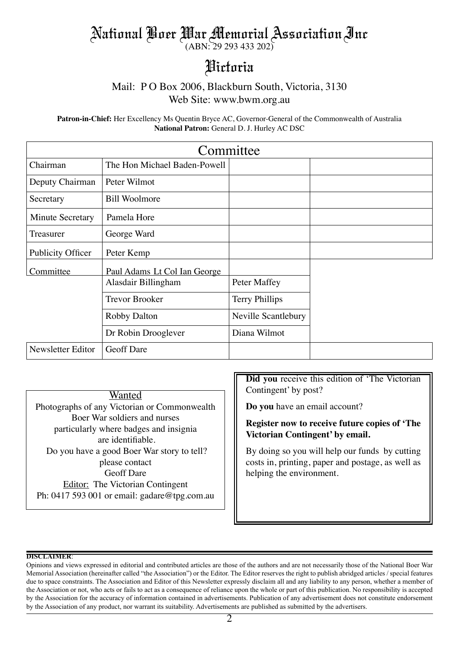## National Boer War Memorial Association Inc

(ABN: 29 293 433 202)

## Victoria

## Mail: P O Box 2006, Blackburn South, Victoria, 3130

Web Site: www.bwm.org.au

**Patron-in-Chief:** Her Excellency Ms Quentin Bryce AC, Governor-General of the Commonwealth of Australia **National Patron:** General D. J. Hurley AC DSC

| Committee               |                              |                       |  |
|-------------------------|------------------------------|-----------------------|--|
| Chairman                | The Hon Michael Baden-Powell |                       |  |
| Deputy Chairman         | Peter Wilmot                 |                       |  |
| Secretary               | <b>Bill Woolmore</b>         |                       |  |
| <b>Minute Secretary</b> | Pamela Hore                  |                       |  |
| Treasurer               | George Ward                  |                       |  |
| Publicity Officer       | Peter Kemp                   |                       |  |
| Committee               | Paul Adams Lt Col Ian George |                       |  |
|                         | Alasdair Billingham          | Peter Maffey          |  |
|                         | <b>Trevor Brooker</b>        | <b>Terry Phillips</b> |  |
|                         | <b>Robby Dalton</b>          | Neville Scantlebury   |  |
|                         | Dr Robin Drooglever          | Diana Wilmot          |  |
| Newsletter Editor       | <b>Geoff Dare</b>            |                       |  |

**Wanted** Photographs of any Victorian or Commonwealth Boer War soldiers and nurses particularly where badges and insignia are identifiable. Do you have a good Boer War story to tell? please contact Geoff Dare Editor: The Victorian Contingent Ph: 0417 593 001 or email: gadare@tpg.com.au

**Did you** receive this edition of 'The Victorian Contingent' by post?

**Do you** have an email account?

#### **Register now to receive future copies of 'The Victorian Contingent' by email.**

By doing so you will help our funds by cutting costs in, printing, paper and postage, as well as helping the environment.

#### **DISCLAIMER**:

Opinions and views expressed in editorial and contributed articles are those of the authors and are not necessarily those of the National Boer War Memorial Association (hereinafter called "the Association") or the Editor. The Editor reserves the right to publish abridged articles / special features due to space constraints. The Association and Editor of this Newsletter expressly disclaim all and any liability to any person, whether a member of the Association or not, who acts or fails to act as a consequence of reliance upon the whole or part of this publication. No responsibility is accepted by the Association for the accuracy of information contained in advertisements. Publication of any advertisement does not constitute endorsement by the Association of any product, nor warrant its suitability. Advertisements are published as submitted by the advertisers.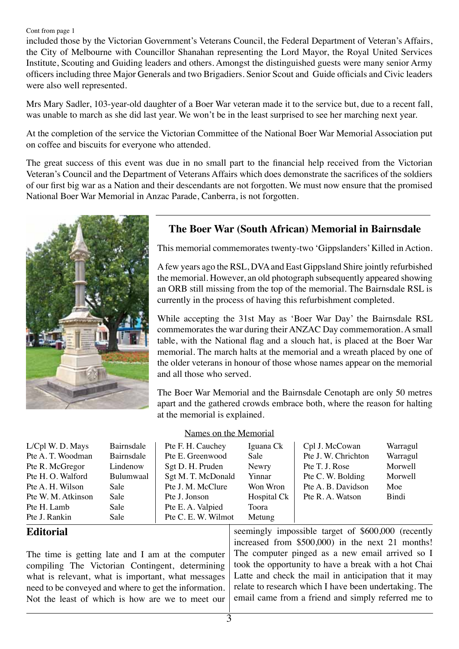#### Cont from page 1

included those by the Victorian Government's Veterans Council, the Federal Department of Veteran's Affairs, the City of Melbourne with Councillor Shanahan representing the Lord Mayor, the Royal United Services Institute, Scouting and Guiding leaders and others. Amongst the distinguished guests were many senior Army officers including three Major Generals and two Brigadiers. Senior Scout and Guide officials and Civic leaders were also well represented.

Mrs Mary Sadler, 103-year-old daughter of a Boer War veteran made it to the service but, due to a recent fall, was unable to march as she did last year. We won't be in the least surprised to see her marching next year.

At the completion of the service the Victorian Committee of the National Boer War Memorial Association put on coffee and biscuits for everyone who attended.

The great success of this event was due in no small part to the financial help received from the Victorian Veteran's Council and the Department of Veterans Affairs which does demonstrate the sacrifices of the soldiers of our first big war as a Nation and their descendants are not forgotten. We must now ensure that the promised National Boer War Memorial in Anzac Parade, Canberra, is not forgotten.



#### **The Boer War (South African) Memorial in Bairnsdale**

This memorial commemorates twenty-two 'Gippslanders' Killed in Action.

A few years ago the RSL, DVA and East Gippsland Shire jointly refurbished the memorial. However, an old photograph subsequently appeared showing an ORB still missing from the top of the memorial. The Bairnsdale RSL is currently in the process of having this refurbishment completed.

While accepting the 31st May as 'Boer War Day' the Bairnsdale RSL commemorates the war during their ANZAC Day commemoration. A small table, with the National flag and a slouch hat, is placed at the Boer War memorial. The march halts at the memorial and a wreath placed by one of the older veterans in honour of those whose names appear on the memorial and all those who served.

The Boer War Memorial and the Bairnsdale Cenotaph are only 50 metres apart and the gathered crowds embrace both, where the reason for halting at the memorial is explained.

| L/Cpl W. D. Mays   | Bairnsdale | Pte F. H. Cauchey   | Iguana Ck   | Cpl J. McCowan      | Warragul |
|--------------------|------------|---------------------|-------------|---------------------|----------|
| Pte A. T. Woodman  | Bairnsdale | Pte E. Greenwood    | Sale        | Pte J. W. Chrichton | Warragul |
| Pte R. McGregor    | Lindenow   | Sgt D. H. Pruden    | Newry       | Pte T. J. Rose      | Morwell  |
| Pte H.O. Walford   | Bulumwaal  | Sgt M. T. McDonald  | Yinnar      | Pte C. W. Bolding   | Morwell  |
| Pte A. H. Wilson   | Sale       | Pte J. M. McClure   | Won Wron    | Pte A. B. Davidson  | Moe      |
| Pte W. M. Atkinson | Sale       | Pte J. Jonson       | Hospital Ck | Pte R.A. Watson     | Bindi    |
| Pte H. Lamb        | Sale       | Pte E.A. Valpied    | Toora       |                     |          |
| Pte J. Rankin      | Sale       | Pte C. E. W. Wilmot | Metung      |                     |          |

#### Names on the Memorial

#### **Editorial**

The time is getting late and I am at the computer compiling The Victorian Contingent, determining what is relevant, what is important, what messages need to be conveyed and where to get the information. Not the least of which is how are we to meet our

seemingly impossible target of \$600,000 (recently increased from \$500,000) in the next 21 months! The computer pinged as a new email arrived so I took the opportunity to have a break with a hot Chai Latte and check the mail in anticipation that it may relate to research which I have been undertaking. The email came from a friend and simply referred me to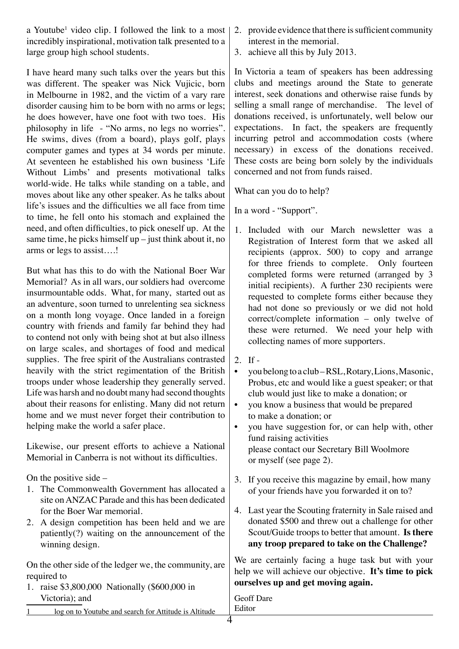a Youtube<sup>1</sup> video clip. I followed the link to a most incredibly inspirational, motivation talk presented to a large group high school students.

I have heard many such talks over the years but this was different. The speaker was Nick Vujicic, born in Melbourne in 1982, and the victim of a vary rare disorder causing him to be born with no arms or legs; he does however, have one foot with two toes. His philosophy in life - "No arms, no legs no worries". He swims, dives (from a board), plays golf, plays computer games and types at 34 words per minute. At seventeen he established his own business 'Life Without Limbs' and presents motivational talks world-wide. He talks while standing on a table, and moves about like any other speaker. As he talks about life's issues and the difficulties we all face from time to time, he fell onto his stomach and explained the need, and often difficulties, to pick oneself up. At the same time, he picks himself up  $-$  just think about it, no arms or legs to assist….!

But what has this to do with the National Boer War Memorial? As in all wars, our soldiers had overcome insurmountable odds. What, for many, started out as an adventure, soon turned to unrelenting sea sickness on a month long voyage. Once landed in a foreign country with friends and family far behind they had to contend not only with being shot at but also illness on large scales, and shortages of food and medical supplies. The free spirit of the Australians contrasted heavily with the strict regimentation of the British troops under whose leadership they generally served. Life was harsh and no doubt many had second thoughts about their reasons for enlisting. Many did not return home and we must never forget their contribution to helping make the world a safer place.

Likewise, our present efforts to achieve a National Memorial in Canberra is not without its difficulties.

On the positive side –

- 1. The Commonwealth Government has allocated a site on ANZAC Parade and this has been dedicated for the Boer War memorial.
- 2. A design competition has been held and we are patiently(?) waiting on the announcement of the winning design.

On the other side of the ledger we, the community, are required to

- 1. raise \$3,800,000 Nationally (\$600,000 in Victoria); and
- 1 log on to Youtube and search for Attitude is Altitude
- 2. provide evidence that there is sufficient community interest in the memorial.
- 3. achieve all this by July 2013.

In Victoria a team of speakers has been addressing clubs and meetings around the State to generate interest, seek donations and otherwise raise funds by selling a small range of merchandise. The level of donations received, is unfortunately, well below our expectations. In fact, the speakers are frequently incurring petrol and accommodation costs (where necessary) in excess of the donations received. These costs are being born solely by the individuals concerned and not from funds raised.

What can you do to help?

In a word - "Support".

- 1. Included with our March newsletter was a Registration of Interest form that we asked all recipients (approx. 500) to copy and arrange for three friends to complete. Only fourteen completed forms were returned (arranged by 3 initial recipients). A further 230 recipients were requested to complete forms either because they had not done so previously or we did not hold correct/complete information – only twelve of these were returned. We need your help with collecting names of more supporters.
- 2. If -
- you belong to a club RSL, Rotary, Lions, Masonic, Probus, etc and would like a guest speaker; or that club would just like to make a donation; or
- you know a business that would be prepared to make a donation; or

• you have suggestion for, or can help with, other fund raising activities please contact our Secretary Bill Woolmore or myself (see page 2).

- 3. If you receive this magazine by email, how many of your friends have you forwarded it on to?
- 4. Last year the Scouting fraternity in Sale raised and donated \$500 and threw out a challenge for other Scout/Guide troops to better that amount. **Is there any troop prepared to take on the Challenge?**

We are certainly facing a huge task but with your help we will achieve our objective. **It's time to pick ourselves up and get moving again.** 

Geoff Dare Editor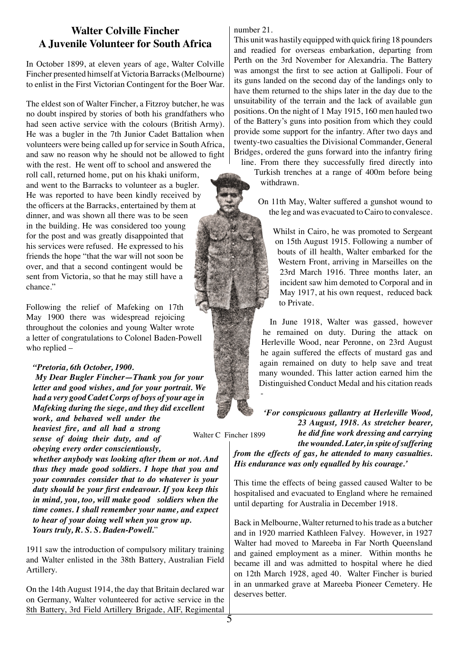#### **Walter Colville Fincher A Juvenile Volunteer for South Africa**

In October 1899, at eleven years of age, Walter Colville Fincher presented himself at Victoria Barracks (Melbourne) to enlist in the First Victorian Contingent for the Boer War.

The eldest son of Walter Fincher, a Fitzroy butcher, he was no doubt inspired by stories of both his grandfathers who had seen active service with the colours (British Army). He was a bugler in the 7th Junior Cadet Battalion when volunteers were being called up for service in South Africa, and saw no reason why he should not be allowed to fight with the rest. He went off to school and answered the roll call, returned home, put on his khaki uniform, and went to the Barracks to volunteer as a bugler. He was reported to have been kindly received by the officers at the Barracks, entertained by them at dinner, and was shown all there was to be seen in the building. He was considered too young for the post and was greatly disappointed that his services were refused. He expressed to his friends the hope "that the war will not soon be over, and that a second contingent would be sent from Victoria, so that he may still have a chance."

Following the relief of Mafeking on 17th May 1900 there was widespread rejoicing throughout the colonies and young Walter wrote a letter of congratulations to Colonel Baden-Powell who replied –

#### *"Pretoria, 6th October, 1900.*

 *My Dear Bugler Fincher—Thank you for your letter and good wishes, and for your portrait. We had a very good Cadet Corps of boys of your age in Mafeking during the siege, and they did excellent work, and behaved well under the heaviest fire, and all had a strong* 

*sense of doing their duty, and of obeying every order conscientiously,* 

*whether anybody was looking after them or not. And thus they made good soldiers. I hope that you and your comrades consider that to do whatever is your duty should be your first endeavour. If you keep this in mind, you, too, will make good soldiers when the time comes. I shall remember your name, and expect to hear of your doing well when you grow up. Yours truly, R. S. S. Baden-Powell.*"

1911 saw the introduction of compulsory military training and Walter enlisted in the 38th Battery, Australian Field Artillery.

On the 14th August 1914, the day that Britain declared war on Germany, Walter volunteered for active service in the 8th Battery, 3rd Field Artillery Brigade, AIF, Regimental number 21.

This unit was hastily equipped with quick firing 18 pounders and readied for overseas embarkation, departing from Perth on the 3rd November for Alexandria. The Battery was amongst the first to see action at Gallipoli. Four of its guns landed on the second day of the landings only to have them returned to the ships later in the day due to the unsuitability of the terrain and the lack of available gun positions. On the night of 1 May 1915, 160 men hauled two of the Battery's guns into position from which they could provide some support for the infantry. After two days and twenty-two casualties the Divisional Commander, General Bridges, ordered the guns forward into the infantry firing

line. From there they successfully fired directly into Turkish trenches at a range of 400m before being withdrawn.

On 11th May, Walter suffered a gunshot wound to the leg and was evacuated to Cairo to convalesce.

> Whilst in Cairo, he was promoted to Sergeant on 15th August 1915. Following a number of bouts of ill health, Walter embarked for the Western Front, arriving in Marseilles on the 23rd March 1916. Three months later, an incident saw him demoted to Corporal and in May 1917, at his own request, reduced back to Private.

In June 1918, Walter was gassed, however he remained on duty. During the attack on Herleville Wood, near Peronne, on 23rd August he again suffered the effects of mustard gas and again remained on duty to help save and treat many wounded. This latter action earned him the Distinguished Conduct Medal and his citation reads

*'For conspicuous gallantry at Herleville Wood, 23 August, 1918. As stretcher bearer, he did fine work dressing and carrying the wounded. Later, in spite of suffering* 

Walter C Fincher 1899

-

*from the effects of gas, he attended to many casualties. His endurance was only equalled by his courage.'*

This time the effects of being gassed caused Walter to be hospitalised and evacuated to England where he remained until departing for Australia in December 1918.

Back in Melbourne, Walter returned to his trade as a butcher and in 1920 married Kathleen Falvey. However, in 1927 Walter had moved to Mareeba in Far North Queensland and gained employment as a miner. Within months he became ill and was admitted to hospital where he died on 12th March 1928, aged 40. Walter Fincher is buried in an unmarked grave at Mareeba Pioneer Cemetery. He deserves better.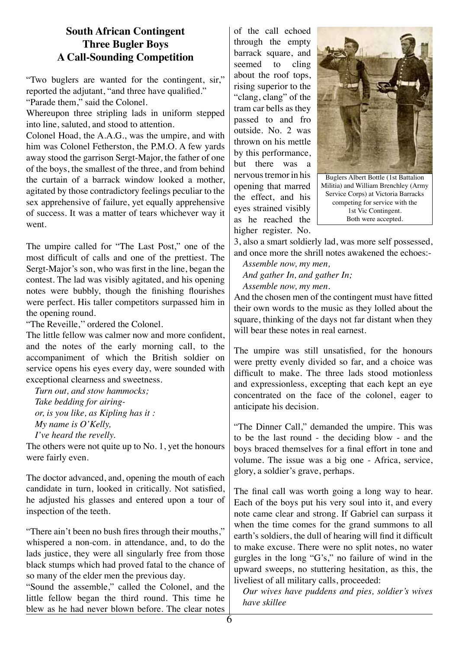#### **South African Contingent Three Bugler Boys A Call-Sounding Competition**

"Two buglers are wanted for the contingent, sir," reported the adjutant, "and three have qualified." "Parade them," said the Colonel.

Whereupon three stripling lads in uniform stepped into line, saluted, and stood to attention.

Colonel Hoad, the A.A.G., was the umpire, and with him was Colonel Fetherston, the P.M.O. A few yards away stood the garrison Sergt-Major, the father of one of the boys, the smallest of the three, and from behind the curtain of a barrack window looked a mother, agitated by those contradictory feelings peculiar to the sex apprehensive of failure, yet equally apprehensive of success. It was a matter of tears whichever way it went.

The umpire called for "The Last Post," one of the most difficult of calls and one of the prettiest. The Sergt-Major's son, who was first in the line, began the contest. The lad was visibly agitated, and his opening notes were bubbly, though the finishing flourishes were perfect. His taller competitors surpassed him in the opening round.

"The Reveille,'' ordered the Colonel.

The little fellow was calmer now and more confident, and the notes of the early morning call, to the accompaniment of which the British soldier on service opens his eyes every day, were sounded with exceptional clearness and sweetness.

*Turn out, and stow hammocks; Take bedding for airingor, is you like, as Kipling has it : My name is O'Kelly, I've heard the revelly.*

The others were not quite up to No. 1, yet the honours were fairly even.

The doctor advanced, and, opening the mouth of each candidate in turn, looked in critically. Not satisfied, he adjusted his glasses and entered upon a tour of inspection of the teeth.

"There ain't been no bush fires through their mouths," whispered a non-com. in attendance, and, to do the lads justice, they were all singularly free from those black stumps which had proved fatal to the chance of so many of the elder men the previous day.

"Sound the assemble," called the Colonel, and the little fellow began the third round. This time he blew as he had never blown before. The clear notes

of the call echoed through the empty barrack square, and seemed to cling about the roof tops, rising superior to the "clang, clang" of the tram car bells as they passed to and fro outside. No. 2 was thrown on his mettle by this performance, but there was a nervous tremor in his opening that marred the effect, and his eyes strained visibly as he reached the higher register. No.



Buglers Albert Bottle (1st Battalion Militia) and William Brenchley (Army Service Corps) at Victoria Barracks competing for service with the 1st Vic Contingent. Both were accepted.

3, also a smart soldierly lad, was more self possessed, and once more the shrill notes awakened the echoes:-

*Assemble now, my men, And gather In, and gather In; Assemble now, my men.*

And the chosen men of the contingent must have fitted their own words to the music as they lolled about the square, thinking of the days not far distant when they will bear these notes in real earnest.

The umpire was still unsatisfied, for the honours were pretty evenly divided so far, and a choice was difficult to make. The three lads stood motionless and expressionless, excepting that each kept an eye concentrated on the face of the colonel, eager to anticipate his decision.

"The Dinner Call," demanded the umpire. This was to be the last round - the deciding blow - and the boys braced themselves for a final effort in tone and volume. The issue was a big one - Africa, service, glory, a soldier's grave, perhaps.

The final call was worth going a long way to hear. Each of the boys put his very soul into it, and every note came clear and strong. If Gabriel can surpass it when the time comes for the grand summons to all earth's soldiers, the dull of hearing will find it difficult to make excuse. There were no split notes, no water gurgles in the long "G's," no failure of wind in the upward sweeps, no stuttering hesitation, as this, the liveliest of all military calls, proceeded:

*Our wives have puddens and pies, soldier's wives have skillee*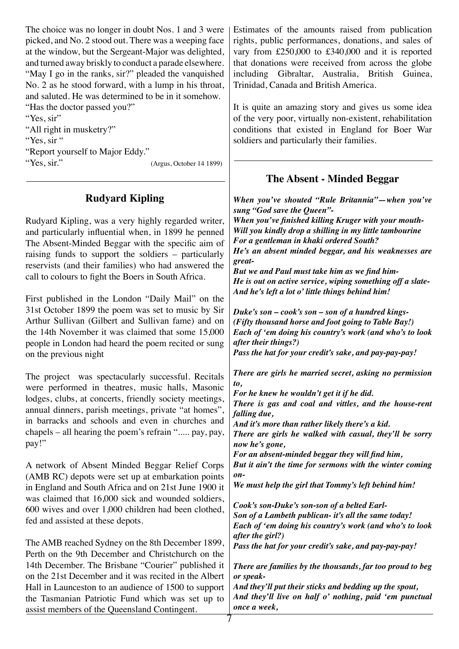The choice was no longer in doubt Nos. 1 and 3 were picked, and No. 2 stood out. There was a weeping face at the window, but the Sergeant-Major was delighted, and turned away briskly to conduct a parade elsewhere. "May I go in the ranks, sir?" pleaded the vanquished No. 2 as he stood forward, with a lump in his throat, and saluted. He was determined to be in it somehow. "Has the doctor passed you?"

"Yes, sir"

"All right in musketry?"

"Yes, sir"

"Report yourself to Major Eddy."

"Yes, sir." (Argus, October 14 1899)

### **Rudyard Kipling**

Rudyard Kipling, was a very highly regarded writer, and particularly influential when, in 1899 he penned The Absent-Minded Beggar with the specific aim of raising funds to support the soldiers – particularly reservists (and their families) who had answered the call to colours to fight the Boers in South Africa.

First published in the London "Daily Mail" on the 31st October 1899 the poem was set to music by Sir Arthur Sullivan (Gilbert and Sullivan fame) and on the 14th November it was claimed that some 15,000 people in London had heard the poem recited or sung on the previous night

The project was spectacularly successful. Recitals were performed in theatres, music halls, Masonic lodges, clubs, at concerts, friendly society meetings, annual dinners, parish meetings, private "at homes", in barracks and schools and even in churches and chapels – all hearing the poem's refrain "..... pay, pay, pay!"

A network of Absent Minded Beggar Relief Corps (AMB RC) depots were set up at embarkation points in England and South Africa and on 21st June 1900 it was claimed that 16,000 sick and wounded soldiers, 600 wives and over 1,000 children had been clothed, fed and assisted at these depots.

The AMB reached Sydney on the 8th December 1899, Perth on the 9th December and Christchurch on the 14th December. The Brisbane "Courier" published it on the 21st December and it was recited in the Albert Hall in Launceston to an audience of 1500 to support the Tasmanian Patriotic Fund which was set up to assist members of the Queensland Contingent.

Estimates of the amounts raised from publication rights, public performances, donations, and sales of vary from £250,000 to £340,000 and it is reported that donations were received from across the globe including Gibraltar, Australia, British Guinea, Trinidad, Canada and British America.

It is quite an amazing story and gives us some idea of the very poor, virtually non-existent, rehabilitation conditions that existed in England for Boer War soldiers and particularly their families.

### **The Absent - Minded Beggar**

*When you've shouted "Rule Britannia"—when you've sung "God save the Queen"- When you've finished killing Kruger with your mouth-Will you kindly drop a shilling in my little tambourine For a gentleman in khaki ordered South? He's an absent minded beggar, and his weaknesses are great-But we and Paul must take him as we find him-He is out on active service, wiping something off a slate-And he's left a lot o' little things behind him! Duke's son – cook's son – son of a hundred kings- (Fifty thousand horse and foot going to Table Bay!) Each of 'em doing his country's work (and who's to look after their things?) Pass the hat for your credit's sake, and pay-pay-pay! There are girls he married secret, asking no permission to, For he knew he wouldn't get it if he did. There is gas and coal and vittles, and the house-rent falling due, And it's more than rather likely there's a kid. There are girls he walked with casual, they'll be sorry now he's gone, For an absent-minded beggar they will find him, But it ain't the time for sermons with the winter coming on-We must help the girl that Tommy's left behind him! Cook's son-Duke's son-son of a belted Earl-Son of a Lambeth publican- it's all the same today! Each of 'em doing his country's work (and who's to look after the girl?) Pass the hat for your credit's sake, and pay-pay-pay! There are families by the thousands, far too proud to beg or speak-And they'll put their sticks and bedding up the spout, And they'll live on half o' nothing, paid 'em punctual* 

*once a week,*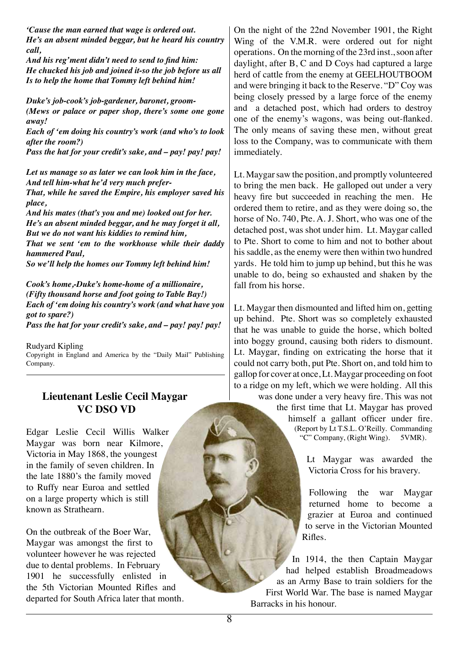| 'Cause the man earned that wage is ordered out.        |  |
|--------------------------------------------------------|--|
| He's an absent minded beggar, but he heard his country |  |
| call,                                                  |  |

*And his reg'ment didn't need to send to find him: He chucked his job and joined it-so the job before us all Is to help the home that Tommy left behind him!*

*Duke's job-cook's job-gardener, baronet, groom- (Mews or palace or paper shop, there's some one gone away!*

*Each of 'em doing his country's work (and who's to look after the room?)*

*Pass the hat for your credit's sake, and – pay! pay! pay!*

*Let us manage so as later we can look him in the face, And tell him-what he'd very much prefer-That, while he saved the Empire, his employer saved his place,*

*And his mates (that's you and me) looked out for her. He's an absent minded beggar, and he may forget it all, But we do not want his kiddies to remind him, That we sent 'em to the workhouse while their daddy hammered Paul, So we'll help the homes our Tommy left behind him!*

*Cook's home,-Duke's home-home of a millionaire, (Fifty thousand horse and foot going to Table Bay!) Each of 'em doing his country's work (and what have you got to spare?) Pass the hat for your credit's sake, and – pay! pay! pay!* 

Rudyard Kipling Copyright in England and America by the "Daily Mail" Publishing Company.

#### **Lieutenant Leslie Cecil Maygar VC DSO VD**

Edgar Leslie Cecil Willis Walker Maygar was born near Kilmore, Victoria in May 1868, the youngest in the family of seven children. In the late 1880's the family moved to Ruffy near Euroa and settled on a large property which is still known as Strathearn.

On the outbreak of the Boer War, Maygar was amongst the first to volunteer however he was rejected due to dental problems. In February 1901 he successfully enlisted in the 5th Victorian Mounted Rifles and departed for South Africa later that month.

On the night of the 22nd November 1901, the Right Wing of the V.M.R. were ordered out for night operations. On the morning of the 23rd inst., soon after daylight, after B, C and D Coys had captured a large herd of cattle from the enemy at GEELHOUTBOOM and were bringing it back to the Reserve. "D" Coy was being closely pressed by a large force of the enemy and a detached post, which had orders to destroy one of the enemy's wagons, was being out-flanked. The only means of saving these men, without great loss to the Company, was to communicate with them immediately.

Lt. Maygar saw the position, and promptly volunteered to bring the men back. He galloped out under a very heavy fire but succeeded in reaching the men. He ordered them to retire, and as they were doing so, the horse of No. 740, Pte. A. J. Short, who was one of the detached post, was shot under him. Lt. Maygar called to Pte. Short to come to him and not to bother about his saddle, as the enemy were then within two hundred yards. He told him to jump up behind, but this he was unable to do, being so exhausted and shaken by the fall from his horse.

Lt. Maygar then dismounted and lifted him on, getting up behind. Pte. Short was so completely exhausted that he was unable to guide the horse, which bolted into boggy ground, causing both riders to dismount. Lt. Maygar, finding on extricating the horse that it could not carry both, put Pte. Short on, and told him to gallop for cover at once, Lt. Maygar proceeding on foot to a ridge on my left, which we were holding. All this

> was done under a very heavy fire. This was not the first time that Lt. Maygar has proved himself a gallant officer under fire. (Report by Lt T.S.L. O'Reilly. Commanding "C" Company, (Right Wing). 5VMR).

> > Lt Maygar was awarded the Victoria Cross for his bravery.

Following the war Maygar returned home to become a grazier at Euroa and continued to serve in the Victorian Mounted Rifles.

In 1914, the then Captain Maygar had helped establish Broadmeadows as an Army Base to train soldiers for the First World War. The base is named Maygar Barracks in his honour.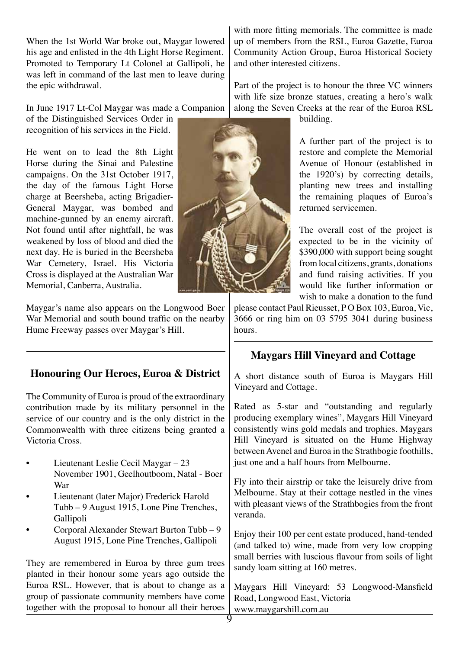When the 1st World War broke out, Maygar lowered his age and enlisted in the 4th Light Horse Regiment. Promoted to Temporary Lt Colonel at Gallipoli, he was left in command of the last men to leave during the epic withdrawal.

In June 1917 Lt-Col Maygar was made a Companion

of the Distinguished Services Order in recognition of his services in the Field.

He went on to lead the 8th Light Horse during the Sinai and Palestine campaigns. On the 31st October 1917, the day of the famous Light Horse charge at Beersheba, acting Brigadier-General Maygar, was bombed and machine-gunned by an enemy aircraft. Not found until after nightfall, he was weakened by loss of blood and died the next day. He is buried in the Beersheba War Cemetery, Israel. His Victoria Cross is displayed at the Australian War Memorial, Canberra, Australia.

Maygar's name also appears on the Longwood Boer War Memorial and south bound traffic on the nearby Hume Freeway passes over Maygar's Hill.

### **Honouring Our Heroes, Euroa & District**

The Community of Euroa is proud of the extraordinary contribution made by its military personnel in the service of our country and is the only district in the Commonwealth with three citizens being granted a Victoria Cross.

- Lieutenant Leslie Cecil Maygar 23 November 1901, Geelhoutboom, Natal - Boer War
- Lieutenant (later Major) Frederick Harold Tubb – 9 August 1915, Lone Pine Trenches, Gallipoli
- Corporal Alexander Stewart Burton Tubb 9 August 1915, Lone Pine Trenches, Gallipoli

They are remembered in Euroa by three gum trees planted in their honour some years ago outside the Euroa RSL. However, that is about to change as a group of passionate community members have come together with the proposal to honour all their heroes

with more fitting memorials. The committee is made up of members from the RSL, Euroa Gazette, Euroa Community Action Group, Euroa Historical Society and other interested citizens.

Part of the project is to honour the three VC winners with life size bronze statues, creating a hero's walk along the Seven Creeks at the rear of the Euroa RSL

building.

A further part of the project is to restore and complete the Memorial Avenue of Honour (established in the 1920's) by correcting details, planting new trees and installing the remaining plaques of Euroa's returned servicemen.

The overall cost of the project is expected to be in the vicinity of \$390,000 with support being sought from local citizens, grants, donations and fund raising activities. If you would like further information or wish to make a donation to the fund

please contact Paul Rieusset, P O Box 103, Euroa, Vic, 3666 or ring him on 03 5795 3041 during business

#### **Maygars Hill Vineyard and Cottage**

A short distance south of Euroa is Maygars Hill Vineyard and Cottage.

Rated as 5-star and "outstanding and regularly producing exemplary wines", Maygars Hill Vineyard consistently wins gold medals and trophies. Maygars Hill Vineyard is situated on the Hume Highway between Avenel and Euroa in the Strathbogie foothills, just one and a half hours from Melbourne.

Fly into their airstrip or take the leisurely drive from Melbourne. Stay at their cottage nestled in the vines with pleasant views of the Strathbogies from the front veranda.

Enjoy their 100 per cent estate produced, hand-tended (and talked to) wine, made from very low cropping small berries with luscious flavour from soils of light sandy loam sitting at 160 metres.

Maygars Hill Vineyard: 53 Longwood-Mansfield Road, Longwood East, Victoria www.maygarshill.com.au

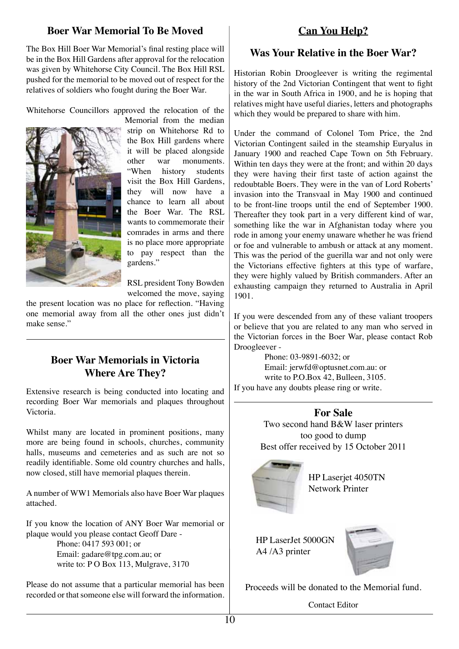#### **Boer War Memorial To Be Moved**

The Box Hill Boer War Memorial's final resting place will be in the Box Hill Gardens after approval for the relocation was given by Whitehorse City Council. The Box Hill RSL pushed for the memorial to be moved out of respect for the relatives of soldiers who fought during the Boer War.

Whitehorse Councillors approved the relocation of the



Memorial from the median strip on Whitehorse Rd to the Box Hill gardens where it will be placed alongside other war monuments. "When history students visit the Box Hill Gardens, they will now have a chance to learn all about the Boer War. The RSL wants to commemorate their comrades in arms and there is no place more appropriate to pay respect than the gardens."

RSL president Tony Bowden welcomed the move, saying

the present location was no place for reflection. "Having one memorial away from all the other ones just didn't make sense."

#### **Boer War Memorials in Victoria Where Are They?**

Extensive research is being conducted into locating and recording Boer War memorials and plaques throughout Victoria.

Whilst many are located in prominent positions, many more are being found in schools, churches, community halls, museums and cemeteries and as such are not so readily identifiable. Some old country churches and halls, now closed, still have memorial plaques therein.

A number of WW1 Memorials also have Boer War plaques attached.

If you know the location of ANY Boer War memorial or plaque would you please contact Geoff Dare -

> Phone: 0417 593 001; or Email: gadare@tpg.com.au; or write to: P O Box 113, Mulgrave, 3170

Please do not assume that a particular memorial has been recorded or that someone else will forward the information.

### **Can You Help?**

#### **Was Your Relative in the Boer War?**

Historian Robin Droogleever is writing the regimental history of the 2nd Victorian Contingent that went to fight in the war in South Africa in 1900, and he is hoping that relatives might have useful diaries, letters and photographs which they would be prepared to share with him.

Under the command of Colonel Tom Price, the 2nd Victorian Contingent sailed in the steamship Euryalus in January 1900 and reached Cape Town on 5th February. Within ten days they were at the front; and within 20 days they were having their first taste of action against the redoubtable Boers. They were in the van of Lord Roberts' invasion into the Transvaal in May 1900 and continued to be front-line troops until the end of September 1900. Thereafter they took part in a very different kind of war, something like the war in Afghanistan today where you rode in among your enemy unaware whether he was friend or foe and vulnerable to ambush or attack at any moment. This was the period of the guerilla war and not only were the Victorians effective fighters at this type of warfare, they were highly valued by British commanders. After an exhausting campaign they returned to Australia in April 1901.

If you were descended from any of these valiant troopers or believe that you are related to any man who served in the Victorian forces in the Boer War, please contact Rob Droogleever -

Phone: 03-9891-6032; or Email: jerwfd@optusnet.com.au: or write to P.O.Box 42, Bulleen, 3105. If you have any doubts please ring or write.

> **For Sale** Two second hand B&W laser printers too good to dump Best offer received by 15 October 2011



HP Laserjet 4050TN Network Printer

HP LaserJet 5000GN A4 /A3 printer



Proceeds will be donated to the Memorial fund.

Contact Editor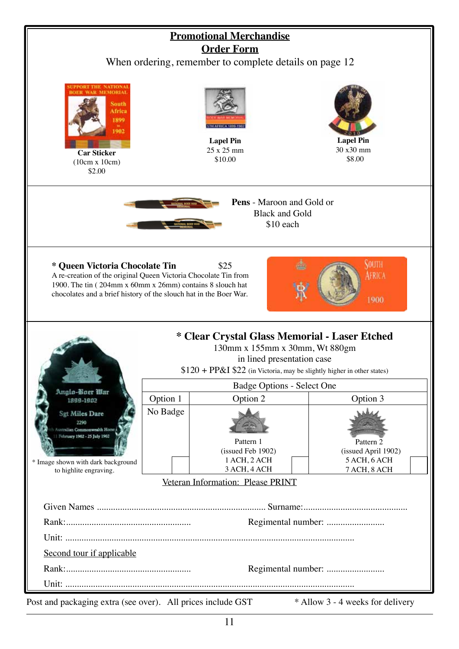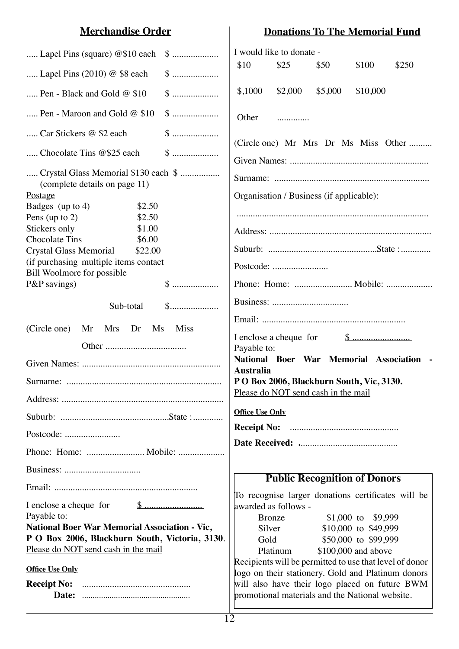| <b>Merchandise Order</b>                                                                | <b>Donations To The Memorial Fund</b>                                                                               |  |  |
|-----------------------------------------------------------------------------------------|---------------------------------------------------------------------------------------------------------------------|--|--|
| Lapel Pins (square) @\$10 each                                                          | I would like to donate -                                                                                            |  |  |
| $\$\,$<br>Lapel Pins $(2010) \&$ \$8 each                                               | \$10<br>\$25<br>\$50<br>\$100<br>\$250                                                                              |  |  |
| $\mathbb{S}$<br>Pen - Black and Gold $@$ \$10                                           | \$,1000<br>\$2,000<br>\$5,000<br>\$10,000                                                                           |  |  |
| Pen - Maroon and Gold $@$ \$10<br>$\$\,$                                                | Other                                                                                                               |  |  |
| $\$\,$<br>Car Stickers @ \$2 each                                                       | (Circle one) Mr Mrs Dr Ms Miss Other                                                                                |  |  |
| Chocolate Tins @\$25 each                                                               |                                                                                                                     |  |  |
| Crystal Glass Memorial \$130 each \$<br>(complete details on page 11)<br><b>Postage</b> | Organisation / Business (if applicable):                                                                            |  |  |
| Badges (up to 4)<br>\$2.50<br>\$2.50<br>Pens (up to $2$ )                               |                                                                                                                     |  |  |
| Stickers only<br>\$1.00                                                                 |                                                                                                                     |  |  |
| <b>Chocolate Tins</b><br>\$6.00                                                         |                                                                                                                     |  |  |
| <b>Crystal Glass Memorial</b><br>\$22.00<br>(if purchasing multiple items contact       |                                                                                                                     |  |  |
| Bill Woolmore for possible                                                              | Postcode:                                                                                                           |  |  |
| $\$\,$<br>P&P savings)                                                                  |                                                                                                                     |  |  |
| Sub-total<br>$\mathbb{S}$                                                               |                                                                                                                     |  |  |
| (Circle one)<br>Mr<br>Mrs<br>Dr<br>Ms<br><b>Miss</b>                                    |                                                                                                                     |  |  |
|                                                                                         | <u>\$ </u><br>I enclose a cheque for<br>Payable to:                                                                 |  |  |
|                                                                                         | National Boer War Memorial Association -                                                                            |  |  |
|                                                                                         | <b>Australia</b>                                                                                                    |  |  |
|                                                                                         | PO Box 2006, Blackburn South, Vic, 3130.<br>Please do NOT send cash in the mail                                     |  |  |
|                                                                                         |                                                                                                                     |  |  |
|                                                                                         | <b>Office Use Only</b>                                                                                              |  |  |
|                                                                                         |                                                                                                                     |  |  |
|                                                                                         |                                                                                                                     |  |  |
|                                                                                         |                                                                                                                     |  |  |
|                                                                                         | <b>Public Recognition of Donors</b>                                                                                 |  |  |
| Payable to:                                                                             | To recognise larger donations certificates will be<br>awarded as follows -<br>$$1,000$ to $$9,999$<br><b>Bronze</b> |  |  |
| <b>National Boer War Memorial Association - Vic,</b>                                    | Silver<br>\$10,000 to \$49,999                                                                                      |  |  |
| P O Box 2006, Blackburn South, Victoria, 3130.<br>Please do NOT send cash in the mail   | Gold<br>\$50,000 to \$99,999                                                                                        |  |  |
|                                                                                         | \$100,000 and above<br>Platinum<br>Recipients will be permitted to use that level of donor                          |  |  |
| <b>Office Use Only</b>                                                                  | logo on their stationery. Gold and Platinum donors                                                                  |  |  |
|                                                                                         | will also have their logo placed on future BWM<br>promotional materials and the National website.                   |  |  |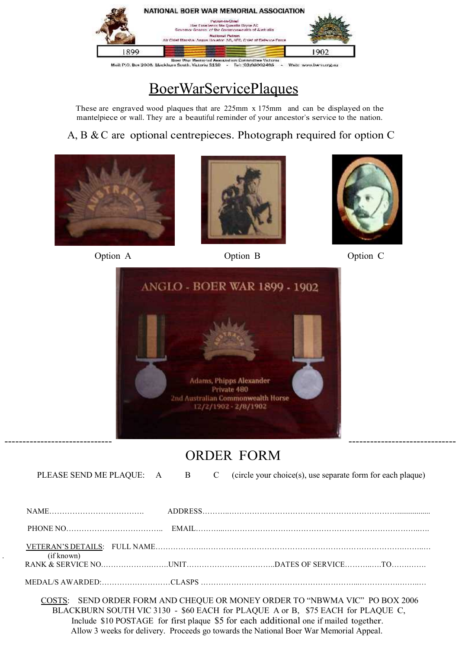

## BoerWarServicePlaques

These are engraved wood plaques that are 225mm x 175mm and can be displayed on the mantelpiece or wall. They are a beautiful reminder of your ancestor's service to the nation.

### A, B & C are optional centrepieces. Photograph required for option C







Option A Option B Option C





### ORDER FORM

PLEASE SEND ME PLAQUE: A B C (circle your choice(s), use separate form for each plaque)

| (if known)                                                                                                                                                          |  |  |
|---------------------------------------------------------------------------------------------------------------------------------------------------------------------|--|--|
|                                                                                                                                                                     |  |  |
|                                                                                                                                                                     |  |  |
| COSTS: SEND ORDER FORM AND CHEQUE OR MONEY ORDER TO "NBWMA VIC" PO BOX 2006<br>DI A CIZDI IDM COUTH VIC 2120 – CA E ACH Lee DI AOUE A er D – CZ E ACH Lee DI AOUE C |  |  |

BLACKBURN SOUTH VIC 3130 - \$60 EACH for PLAQUE A or B, \$75 EACH for PLAQUE C, Include \$10 POSTAGE for first plaque \$5 for each additional one if mailed together. Allow 3 weeks for delivery. Proceeds go towards the National Boer War Memorial Appeal.